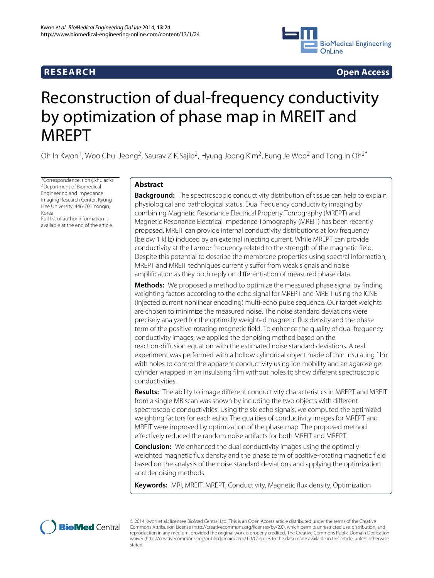

**RESEARCH Open Access**

# Reconstruction of dual-frequency conductivity by optimization of phase map in MREIT and MREPT

Oh In Kwon<sup>1</sup>, Woo Chul Jeong<sup>2</sup>, Saurav Z K Sajib<sup>2</sup>, Hyung Joong Kim<sup>2</sup>, Eung Je Woo<sup>2</sup> and Tong In Oh<sup>2\*</sup>

\*Correspondence: [tioh@khu.ac.kr](mailto:tioh@khu.ac.kr) 2Department of Biomedical Engineering and Impedance Imaging Research Center, Kyung Hee University, 446-701 Yongin, Korea

Full list of author information is available at the end of the article

## **Abstract**

**Background:** The spectroscopic conductivity distribution of tissue can help to explain physiological and pathological status. Dual frequency conductivity imaging by combining Magnetic Resonance Electrical Property Tomography (MREPT) and Magnetic Resonance Electrical Impedance Tomography (MREIT) has been recently proposed. MREIT can provide internal conductivity distributions at low frequency (below 1 kHz) induced by an external injecting current. While MREPT can provide conductivity at the Larmor frequency related to the strength of the magnetic field. Despite this potential to describe the membrane properties using spectral information, MREPT and MREIT techniques currently suffer from weak signals and noise amplification as they both reply on differentiation of measured phase data.

**Methods:** We proposed a method to optimize the measured phase signal by finding weighting factors according to the echo signal for MREPT and MREIT using the ICNE (Injected current nonlinear encoding) multi-echo pulse sequence. Our target weights are chosen to minimize the measured noise. The noise standard deviations were precisely analyzed for the optimally weighted magnetic flux density and the phase term of the positive-rotating magnetic field. To enhance the quality of dual-frequency conductivity images, we applied the denoising method based on the reaction-diffusion equation with the estimated noise standard deviations. A real experiment was performed with a hollow cylindrical object made of thin insulating film with holes to control the apparent conductivity using ion mobility and an agarose gel cylinder wrapped in an insulating film without holes to show different spectroscopic conductivities.

**Results:** The ability to image different conductivity characteristics in MREPT and MREIT from a single MR scan was shown by including the two objects with different spectroscopic conductivities. Using the six echo signals, we computed the optimized weighting factors for each echo. The qualities of conductivity images for MREPT and MREIT were improved by optimization of the phase map. The proposed method effectively reduced the random noise artifacts for both MREIT and MREPT.

**Conclusion:** We enhanced the dual conductivity images using the optimally weighted magnetic flux density and the phase term of positive-rotating magnetic field based on the analysis of the noise standard deviations and applying the optimization and denoising methods.

**Keywords:** MRI, MREIT, MREPT, Conductivity, Magnetic flux density, Optimization



© 2014 Kwon et al.; licensee BioMed Central Ltd. This is an Open Access article distributed under the terms of the Creative Commons Attribution License (http://creativecommons.org/licenses/by/2.0), which permits unrestricted use, distribution, and reproduction in any medium, provided the original work is properly credited. The Creative Commons Public Domain Dedication waiver (http://creativecommons.org/publicdomain/zero/1.0/) applies to the data made available in this article, unless otherwise stated.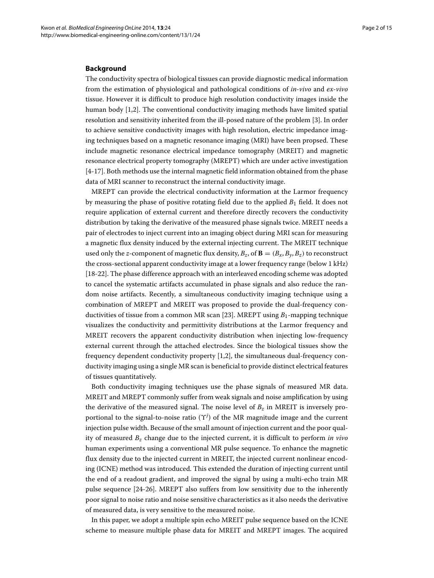#### **Background**

The conductivity spectra of biological tissues can provide diagnostic medical information from the estimation of physiological and pathological conditions of *in-vivo* and *ex-vivo* tissue. However it is difficult to produce high resolution conductivity images inside the human body [\[1](#page-13-0)[,2\]](#page-13-1). The conventional conductivity imaging methods have limited spatial resolution and sensitivity inherited from the ill-posed nature of the problem [\[3\]](#page-13-2). In order to achieve sensitive conductivity images with high resolution, electric impedance imaging techniques based on a magnetic resonance imaging (MRI) have been propsed. These include magnetic resonance electrical impedance tomography (MREIT) and magnetic resonance electrical property tomography (MREPT) which are under active investigation [\[4](#page-13-3)[-17\]](#page-14-0). Both methods use the internal magnetic field information obtained from the phase data of MRI scanner to reconstruct the internal conductivity image.

MREPT can provide the electrical conductivity information at the Larmor frequency by measuring the phase of positive rotating field due to the applied *B*<sup>1</sup> field. It does not require application of external current and therefore directly recovers the conductivity distribution by taking the derivative of the measured phase signals twice. MREIT needs a pair of electrodes to inject current into an imaging object during MRI scan for measuring a magnetic flux density induced by the external injecting current. The MREIT technique used only the *z*-component of magnetic flux density,  $B_z$ , of  $\mathbf{B} = (B_x, B_y, B_z)$  to reconstruct the cross-sectional apparent conductivity image at a lower frequency range (below 1 kHz) [\[18](#page-14-1)[-22\]](#page-14-2). The phase difference approach with an interleaved encoding scheme was adopted to cancel the systematic artifacts accumulated in phase signals and also reduce the random noise artifacts. Recently, a simultaneous conductivity imaging technique using a combination of MREPT and MREIT was proposed to provide the dual-frequency conductivities of tissue from a common MR scan [\[23\]](#page-14-3). MREPT using *B*1-mapping technique visualizes the conductivity and permittivity distributions at the Larmor frequency and MREIT recovers the apparent conductivity distribution when injecting low-frequency external current through the attached electrodes. Since the biological tissues show the frequency dependent conductivity property [\[1](#page-13-0)[,2\]](#page-13-1), the simultaneous dual-frequency conductivity imaging using a single MR scan is beneficial to provide distinct electrical features of tissues quantitatively.

Both conductivity imaging techniques use the phase signals of measured MR data. MREIT and MREPT commonly suffer from weak signals and noise amplification by using the derivative of the measured signal. The noise level of  $B<sub>z</sub>$  in MREIT is inversely proportional to the signal-to-noise ratio (*ϒ<sup>j</sup>* ) of the MR magnitude image and the current injection pulse width. Because of the small amount of injection current and the poor quality of measured *Bz* change due to the injected current, it is difficult to perform *in vivo* human experiments using a conventional MR pulse sequence. To enhance the magnetic flux density due to the injected current in MREIT, the injected current nonlinear encoding (ICNE) method was introduced. This extended the duration of injecting current until the end of a readout gradient, and improved the signal by using a multi-echo train MR pulse sequence [\[24-](#page-14-4)[26\]](#page-14-5). MREPT also suffers from low sensitivity due to the inherently poor signal to noise ratio and noise sensitive characteristics as it also needs the derivative of measured data, is very sensitive to the measured noise.

In this paper, we adopt a multiple spin echo MREIT pulse sequence based on the ICNE scheme to measure multiple phase data for MREIT and MREPT images. The acquired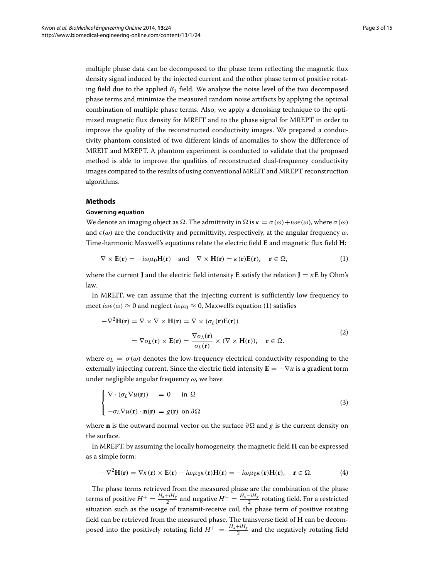multiple phase data can be decomposed to the phase term reflecting the magnetic flux density signal induced by the injected current and the other phase term of positive rotating field due to the applied *B*<sup>1</sup> field. We analyze the noise level of the two decomposed phase terms and minimize the measured random noise artifacts by applying the optimal combination of multiple phase terms. Also, we apply a denoising technique to the optimized magnetic flux density for MREIT and to the phase signal for MREPT in order to improve the quality of the reconstructed conductivity images. We prepared a conductivity phantom consisted of two different kinds of anomalies to show the difference of MREIT and MREPT. A phantom experiment is conducted to validate that the proposed method is able to improve the qualities of reconstructed dual-frequency conductivity images compared to the results of using conventional MREIT and MREPT reconstruction algorithms.

#### **Methods**

#### **Governing equation**

We denote an imaging object as  $\Omega$ . The admittivity in  $\Omega$  is  $\kappa = \sigma(\omega) + i\omega\epsilon(\omega)$ , where  $\sigma(\omega)$ and  $\epsilon(\omega)$  are the conductivity and permittivity, respectively, at the angular frequency  $\omega$ . Time-harmonic Maxwell's equations relate the electric field **E** and magnetic flux field **H**:

<span id="page-2-0"></span>
$$
\nabla \times \mathbf{E}(\mathbf{r}) = -i\omega\mu_0 \mathbf{H}(\mathbf{r}) \quad \text{and} \quad \nabla \times \mathbf{H}(\mathbf{r}) = \kappa(\mathbf{r})\mathbf{E}(\mathbf{r}), \quad \mathbf{r} \in \Omega,
$$
 (1)

where the current **J** and the electric field intensity **E** satisfy the relation **J** =  $\kappa$ **E** by Ohm's law.

In MREIT, we can assume that the injecting current is sufficiently low frequency to meet  $i\omega\epsilon(\omega) \approx 0$  and neglect  $i\omega\mu_0 \approx 0$ , Maxwell's equation [\(1\)](#page-2-0) satisfies

$$
-\nabla^2 \mathbf{H}(\mathbf{r}) = \nabla \times \nabla \times \mathbf{H}(\mathbf{r}) = \nabla \times (\sigma_L(\mathbf{r}) \mathbf{E}(\mathbf{r}))
$$
  
=  $\nabla \sigma_L(\mathbf{r}) \times \mathbf{E}(\mathbf{r}) = \frac{\nabla \sigma_L(\mathbf{r})}{\sigma_L(\mathbf{r})} \times (\nabla \times \mathbf{H}(\mathbf{r})), \quad \mathbf{r} \in \Omega.$  (2)

where  $\sigma_L = \sigma(\omega)$  denotes the low-frequency electrical conductivity responding to the externally injecting current. Since the electric field intensity  $\mathbf{E} = -\nabla u$  is a gradient form under negligible angular frequency *ω*, we have

$$
\begin{cases}\n\nabla \cdot (\sigma_L \nabla u(\mathbf{r})) = 0 & \text{in } \Omega \\
-\sigma_L \nabla u(\mathbf{r}) \cdot \mathbf{n}(\mathbf{r}) = g(\mathbf{r}) & \text{on } \partial \Omega\n\end{cases}
$$
\n(3)

where **n** is the outward normal vector on the surface  $\partial \Omega$  and *g* is the current density on the surface.

In MREPT, by assuming the locally homogeneity, the magnetic field **H** can be expressed as a simple form:

$$
-\nabla^2 \mathbf{H}(\mathbf{r}) = \nabla \kappa(\mathbf{r}) \times \mathbf{E}(\mathbf{r}) - i\omega \mu_0 \kappa(\mathbf{r}) \mathbf{H}(\mathbf{r}) = -i\omega \mu_0 \kappa(\mathbf{r}) \mathbf{H}(\mathbf{r}), \quad \mathbf{r} \in \Omega.
$$
 (4)

The phase terms retrieved from the measured phase are the combination of the phase terms of positive  $H^+ = \frac{H_x + iH_y}{2}$  and negative  $H^- = \frac{H_x - iH_y}{2}$  rotating field. For a restricted situation such as the usage of transmit-receive coil, the phase term of positive rotating field can be retrieved from the measured phase. The transverse field of **H** can be decomposed into the positively rotating field  $H^+ = \frac{H_x + iH_y}{2}$  and the negatively rotating field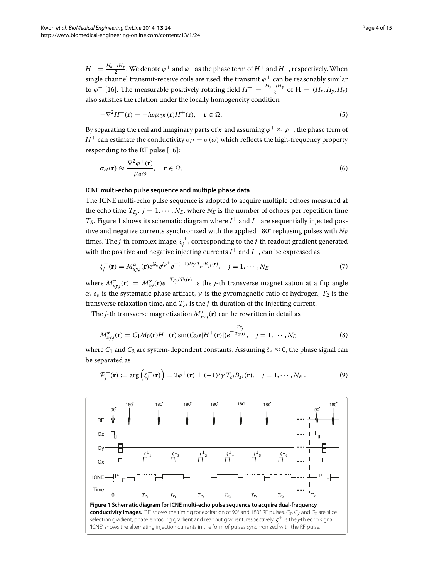$H^{-} = \frac{H_x - iH_y}{2}$ . We denote  $\varphi^{+}$  and  $\varphi^{-}$  as the phase term of  $H^{+}$  and  $H^{-}$ , respectively. When single channel transmit-receive coils are used, the transmit  $\varphi^+$  can be reasonably similar to  $\varphi$ <sup>−</sup> [\[16\]](#page-14-6). The measurable positively rotating field  $H^+ = \frac{H_x + iH_y}{2}$  of  $\mathbf{H} = (H_x, H_y, H_z)$ also satisfies the relation under the locally homogeneity condition

$$
-\nabla^2 H^+(\mathbf{r}) = -i\omega\mu_0 \kappa(\mathbf{r})H^+(\mathbf{r}), \quad \mathbf{r} \in \Omega.
$$
 (5)

By separating the real and imaginary parts of *κ* and assuming  $\varphi^+ \approx \varphi^-$ , the phase term of *H*<sup>+</sup> can estimate the conductivity  $\sigma_H = \sigma(\omega)$  which reflects the high-frequency property responding to the RF pulse [\[16\]](#page-14-6):

$$
\sigma_H(\mathbf{r}) \approx \frac{\nabla^2 \varphi^+(\mathbf{r})}{\mu_0 \omega}, \quad \mathbf{r} \in \Omega.
$$
 (6)

#### **ICNE multi-echo pulse sequence and multiple phase data**

The ICNE multi-echo pulse sequence is adopted to acquire multiple echoes measured at the echo time  $T_{E_j},\ j=1,\cdots,N_E,$  where  $N_E$  is the number of echoes per repetition time *T<sub>R</sub>*. Figure [1](#page-3-0) shows its schematic diagram where *I*<sup>+</sup> and *I*<sup>−</sup> are sequentially injected positive and negative currents synchronized with the applied  $180^\circ$  rephasing pulses with  $N_F$ times. The *j*-th complex image,  $\zeta_j^\pm$ , corresponding to the *j*-th readout gradient generated with the positive and negative injecting currents *I*+ and *I*−, can be expressed as

$$
\zeta_j^{\pm}(\mathbf{r}) = M^{\alpha}_{xy,j}(\mathbf{r})e^{i\delta_{\epsilon}}e^{i\varphi^+}e^{\pm(-1)^j i\gamma}T_{c^j}B_{z^j}(\mathbf{r}), \quad j = 1, \cdots, N_E
$$
\n(7)

where  $M^{\alpha}_{xy,j}({\bf r})\,=\,M^{\alpha}_{xy}({\bf r})e^{-T_{E_j}/T_2({\bf r})}$  is the *j*-th transverse magnetization at a flip angle *α*,  $\delta_{\epsilon}$  is the systematic phase artifact, *γ* is the gyromagnetic ratio of hydrogen, *T*<sub>2</sub> is the transverse relaxation time, and  $T_{c}$  is the *j*-th duration of the injecting current.

The *j*-th transverse magnetization  $M^{\alpha}_{xy,j}(\mathbf{r})$  can be rewritten in detail as

$$
M_{xy,j}^{\alpha}(\mathbf{r}) = C_1 M_0(\mathbf{r}) H^{-}(\mathbf{r}) \sin(C_2 \alpha |H^{+}(\mathbf{r})|) e^{-\frac{T_{E_j}}{T_2(\mathbf{r})}}, \quad j = 1, \cdots, N_E
$$
\n(8)

where  $C_1$  and  $C_2$  are system-dependent constants. Assuming  $\delta_{\epsilon} \approx 0$ , the phase signal can be separated as

$$
\mathcal{P}_j^{\pm}(\mathbf{r}) := \arg\left(\zeta_j^{\pm}(\mathbf{r})\right) = 2\varphi^+(\mathbf{r}) \pm (-1)^j \gamma T_{c} B_{z}(\mathbf{r}), \quad j = 1, \cdots, N_E. \tag{9}
$$

<span id="page-3-0"></span>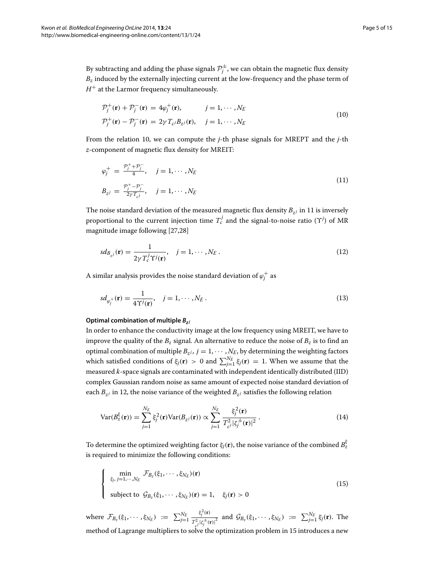By subtracting and adding the phase signals  $\mathcal{P}^{\pm}_j$ , we can obtain the magnetic flux density  $B<sub>z</sub>$  induced by the externally injecting current at the low-frequency and the phase term of  $H^+$  at the Larmor frequency simultaneously.

<span id="page-4-0"></span>
$$
\mathcal{P}_j^+(\mathbf{r}) + \mathcal{P}_j^-(\mathbf{r}) = 4\varphi_j^+(\mathbf{r}), \qquad j = 1, \cdots, N_E
$$
  

$$
\mathcal{P}_j^+(\mathbf{r}) - \mathcal{P}_j^-(\mathbf{r}) = 2\gamma T_{c^j} B_{z^j}(\mathbf{r}), \qquad j = 1, \cdots, N_E
$$
 (10)

From the relation [10,](#page-4-0) we can compute the *j*-th phase signals for MREPT and the *j*-th *z*-component of magnetic flux density for MREIT:

<span id="page-4-1"></span>
$$
\varphi_j^+ = \frac{\mathcal{P}_j^+ + \mathcal{P}_j^-}{4}, \quad j = 1, \cdots, N_E
$$
  

$$
B_{z^j} = \frac{\mathcal{P}_j^+ - \mathcal{P}_j^-}{2_Y T_{c^j}}, \quad j = 1, \cdots, N_E
$$
 (11)

The noise standard deviation of the measured magnetic flux density  $B_{z}$  *j* in [11](#page-4-1) is inversely proportional to the current injection time  $T_c^j$  and the signal-to-noise ratio ( $\Upsilon^j$ ) of MR magnitude image following [\[27,](#page-14-7)[28\]](#page-14-8)

<span id="page-4-2"></span>
$$
sd_{B_{z^j}}(\mathbf{r}) = \frac{1}{2\gamma T_c^j \gamma^j(\mathbf{r})}, \quad j = 1, \cdots, N_E.
$$
\n(12)

A similar analysis provides the noise standard deviation of  $\varphi^+_j$  as

$$
sd_{\varphi_j^+}(\mathbf{r}) = \frac{1}{4\Upsilon^j(\mathbf{r})}, \quad j = 1, \cdots, N_E.
$$
\n(13)

#### **Optimal combination of multiple**  $B_{7j}$

In order to enhance the conductivity image at the low frequency using MREIT, we have to improve the quality of the  $B_z$  signal. An alternative to reduce the noise of  $B_z$  is to find an optimal combination of multiple  $B_{z_j}$ ,  $j = 1, \cdots, N_E$ , by determining the weighting factors which satisfied conditions of  $\xi_j(\mathbf{r}) > 0$  and  $\sum_{j=1}^{N_E} \xi_j(\mathbf{r}) = 1$ . When we assume that the measured *k*-space signals are contaminated with independent identically distributed (IID) complex Gaussian random noise as same amount of expected noise standard deviation of each  $B_{z^j}$  in [12,](#page-4-2) the noise variance of the weighted  $B_{z^j}$  satisfies the following relation

<span id="page-4-4"></span>
$$
Var(B_{z}^{\xi}(\mathbf{r})) = \sum_{j=1}^{N_{E}} \xi_{j}^{2}(\mathbf{r}) Var(B_{z^{j}}(\mathbf{r})) \propto \sum_{j=1}^{N_{E}} \frac{\xi_{j}^{2}(\mathbf{r})}{T_{c^{j}}^{2}|\xi_{j}^{\pm}(\mathbf{r})|^{2}}.
$$
\n(14)

To determine the optimized weighting factor  $\xi_j({\bf r})$ , the noise variance of the combined  $B_z^\xi$ is required to minimize the following conditions:

<span id="page-4-3"></span>
$$
\begin{cases}\n\min_{\xi_j, \ j=1,\cdots,N_E} \mathcal{F}_{B_z}(\xi_1,\cdots,\xi_{N_E})(\mathbf{r}) \\
\text{subject to } \mathcal{G}_{B_z}(\xi_1,\cdots,\xi_{N_E})(\mathbf{r}) = 1, \quad \xi_j(\mathbf{r}) > 0\n\end{cases}
$$
\n(15)

where  $\mathcal{F}_{B_z}(\xi_1, \cdots, \xi_{N_E}) \coloneqq \sum_{j=1}^{N_E}$  $\xi_j^2(\mathbf{r})$  $\frac{\xi_j^2(\mathbf{r})}{T_{c^j}^2|\xi_j^{\pm}(\mathbf{r})|^2}$  and  $\mathcal{G}_{B_z}(\xi_1, \dots, \xi_{N_E}) := \sum_{j=1}^{N_E} \xi_j(\mathbf{r})$ . The method of Lagrange multipliers to solve the optimization problem in [15](#page-4-3) introduces a new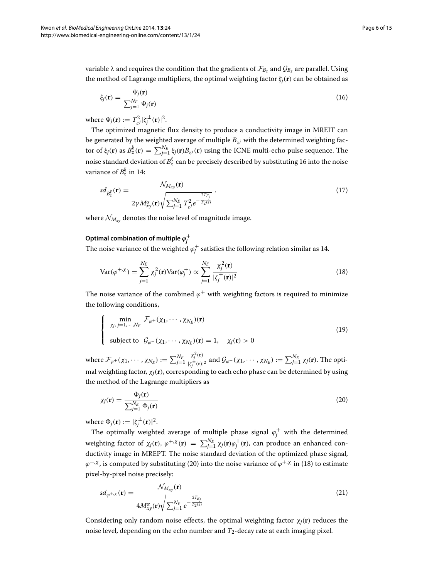variable  $\lambda$  and requires the condition that the gradients of  $\mathcal{F}_{B_z}$  and  $\mathcal{G}_{B_z}$  are parallel. Using the method of Lagrange multipliers, the optimal weighting factor  $\xi_i(\mathbf{r})$  can be obtained as

<span id="page-5-0"></span>
$$
\xi_j(\mathbf{r}) = \frac{\Psi_j(\mathbf{r})}{\sum_{j=1}^{N_E} \Psi_j(\mathbf{r})}
$$
(16)

 $\text{where } \Psi_j(\mathbf{r}) := T_{c^j}^2 |\zeta_j^{\pm}(\mathbf{r})|^2.$ 

The optimized magnetic flux density to produce a conductivity image in MREIT can be generated by the weighted average of multiple  $B_{\tau i}$  with the determined weighting factor of  $\xi_j({\bf r})$  as  $B_z^{\xi}({\bf r})=\sum_{j=1}^{N_E}\xi_j({\bf r})B_{z^j}({\bf r})$  using the ICNE multi-echo pulse sequence. The noise standard deviation of  $B_z^{\xi}$  can be precisely described by substituting [16](#page-5-0) into the noise variance of *B<sup>ξ</sup> <sup>z</sup>* in [14:](#page-4-4)

$$
sd_{B_z^{\xi}}(\mathbf{r}) = \frac{\mathcal{N}_{M_{xy}}(\mathbf{r})}{2\gamma M_{xy}^{\alpha}(\mathbf{r})\sqrt{\sum_{j=1}^{N_E} T_{c^j}^2 e^{-\frac{2T_{E_j}}{T_2(\mathbf{r})}}}}.
$$
(17)

where  $\mathcal{N}_{M_{xy}}$  denotes the noise level of magnitude image.

# **Optimal combination of multiple** *ϕ***+** *j*

The noise variance of the weighted  $\varphi^+_j$  satisfies the following relation similar as [14.](#page-4-4)

<span id="page-5-2"></span>
$$
\text{Var}(\varphi^{+, \chi}) = \sum_{j=1}^{N_E} \chi_j^2(\mathbf{r}) \text{Var}(\varphi_j^+) \propto \sum_{j=1}^{N_E} \frac{\chi_j^2(\mathbf{r})}{|\zeta_j^{\pm}(\mathbf{r})|^2}
$$
(18)

The noise variance of the combined  $\varphi^+$  with weighting factors is required to minimize the following conditions,

$$
\begin{cases}\n\min_{\chi_j, j=1,\cdots,N_E} \mathcal{F}_{\varphi^+}(\chi_1,\cdots,\chi_{N_E})(\mathbf{r}) \\
\text{subject to} \quad \mathcal{G}_{\varphi^+}(\chi_1,\cdots,\chi_{N_E})(\mathbf{r})=1, \quad \chi_j(\mathbf{r})>0\n\end{cases}
$$
\n(19)

where  $\mathcal{F}_{\varphi^+}(\chi_1, \cdots, \chi_{N_E}) := \sum_{j=1}^{N_E}$  $\chi_j^2$ (**r**)  $\frac{\chi_j^{\perp}(\mathbf{r})}{|\zeta_j^{\pm}(\mathbf{r})|^2}$  and  $\mathcal{G}_{\varphi^+}(\chi_1,\cdots,\chi_{N_E}) := \sum_{j=1}^{N_E}\chi_j(\mathbf{r})$ . The optimal weighting factor,  $\chi_i(\mathbf{r})$ , corresponding to each echo phase can be determined by using the method of the Lagrange multipliers as

<span id="page-5-1"></span>
$$
\chi_j(\mathbf{r}) = \frac{\Phi_j(\mathbf{r})}{\sum_{j=1}^{N_E} \Phi_j(\mathbf{r})}
$$
\n(20)

where  $\Phi_j(\mathbf{r}) := |\zeta_j^{\pm}(\mathbf{r})|^2$ .

The optimally weighted average of multiple phase signal  $\varphi^+_j$  with the determined weighting factor of  $\chi_j(\mathbf{r}), \varphi^{+,\chi}(\mathbf{r}) = \sum_{j=1}^{N_E} \chi_j(\mathbf{r}) \varphi_j^{+}(\mathbf{r})$ , can produce an enhanced conductivity image in MREPT. The noise standard deviation of the optimized phase signal,  $\varphi^{+, \chi}$ , is computed by substituting [\(20\)](#page-5-1) into the noise variance of  $\varphi^{+, \chi}$  in [\(18\)](#page-5-2) to estimate pixel-by-pixel noise precisely:

$$
sd_{\varphi^{+,\chi}}(\mathbf{r}) = \frac{\mathcal{N}_{M_{xy}}(\mathbf{r})}{4M_{xy}^{\alpha}(\mathbf{r})\sqrt{\sum_{j=1}^{N_E} e^{-\frac{2T_{E_j}}{T_2(\mathbf{r})}}}}
$$
(21)

Considering only random noise effects, the optimal weighting factor  $\chi_j(\mathbf{r})$  reduces the noise level, depending on the echo number and  $T_2$ -decay rate at each imaging pixel.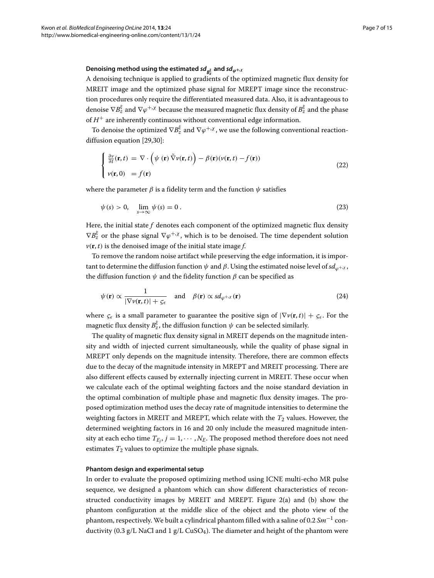# $\epsilon$  Denoising method using the estimated  $sd_{\beta_{\mathsf{Z}}^{\xi}}$  and  $sd_{\varphi^{+, \chi}}$

A denoising technique is applied to gradients of the optimized magnetic flux density for MREIT image and the optimized phase signal for MREPT image since the reconstruction procedures only require the differentiated measured data. Also, it is advantageous to denoise  $\nabla B_{z}^{\xi}$  and  $\nabla\varphi^{+,\chi}$  because the measured magnetic flux density of  $B_{z}^{\xi}$  and the phase of  $H^+$  are inherently continuous without conventional edge information.

To denoise the optimized  $\nabla B_{z}^{\xi}$  and  $\nabla\varphi^{+,\chi}$ , we use the following conventional reactiondiffusion equation [\[29,](#page-14-9)[30\]](#page-14-10):

<span id="page-6-0"></span>
$$
\begin{cases} \frac{\partial v}{\partial t}(\mathbf{r},t) = \nabla \cdot \left( \psi(\mathbf{r}) \tilde{\nabla} v(\mathbf{r},t) \right) - \beta(\mathbf{r}) (v(\mathbf{r},t) - f(\mathbf{r})) \\ v(\mathbf{r},0) = f(\mathbf{r}) \end{cases}
$$
(22)

where the parameter  $\beta$  is a fidelity term and the function  $\psi$  satisfies

$$
\psi(s) > 0, \quad \lim_{s \to \infty} \psi(s) = 0 \,. \tag{23}
$$

Here, the initial state *f* denotes each component of the optimized magnetic flux density  $\nabla B_{z}^{\xi}$  or the phase signal  $\nabla \varphi^{+,\chi}$ , which is to be denoised. The time dependent solution  $v(\mathbf{r}, t)$  is the denoised image of the initial state image  $f$ .

To remove the random noise artifact while preserving the edge information, it is important to determine the diffusion function  $\psi$  and  $\beta$ . Using the estimated noise level of *sd*<sub>ω</sub>+,*χ*, the diffusion function  $\psi$  and the fidelity function  $\beta$  can be specified as

$$
\psi(\mathbf{r}) \propto \frac{1}{|\nabla \nu(\mathbf{r}, t)| + \varsigma_{\epsilon}}
$$
 and  $\beta(\mathbf{r}) \propto sd_{\varphi^{+} \times}(\mathbf{r})$  (24)

where  $\zeta_{\epsilon}$  is a small parameter to guarantee the positive sign of  $|\nabla v(\mathbf{r}, t)| + \zeta_{\epsilon}$ . For the magnetic flux density  $B_z^\xi$ , the diffusion function  $\psi$  can be selected similarly.

The quality of magnetic flux density signal in MREIT depends on the magnitude intensity and width of injected current simultaneously, while the quality of phase signal in MREPT only depends on the magnitude intensity. Therefore, there are common effects due to the decay of the magnitude intensity in MREPT and MREIT processing. There are also different effects caused by externally injecting current in MREIT. These occur when we calculate each of the optimal weighting factors and the noise standard deviation in the optimal combination of multiple phase and magnetic flux density images. The proposed optimization method uses the decay rate of magnitude intensities to determine the weighting factors in MREIT and MREPT, which relate with the  $T_2$  values. However, the determined weighting factors in [16](#page-5-0) and [20](#page-5-1) only include the measured magnitude intensity at each echo time  $T_{E_j},\,j=1,\cdots,N_E.$  The proposed method therefore does not need estimates  $T_2$  values to optimize the multiple phase signals.

#### **Phantom design and experimental setup**

In order to evaluate the proposed optimizing method using ICNE multi-echo MR pulse sequence, we designed a phantom which can show different characteristics of reconstructed conductivity images by MREIT and MREPT. Figure [2\(](#page-7-0)a) and (b) show the phantom configuration at the middle slice of the object and the photo view of the phantom, respectively. We built a cylindrical phantom filled with a saline of 0.2 *Sm*−<sup>1</sup> conductivity (0.3 g/L NaCl and 1 g/L CuSO<sub>4</sub>). The diameter and height of the phantom were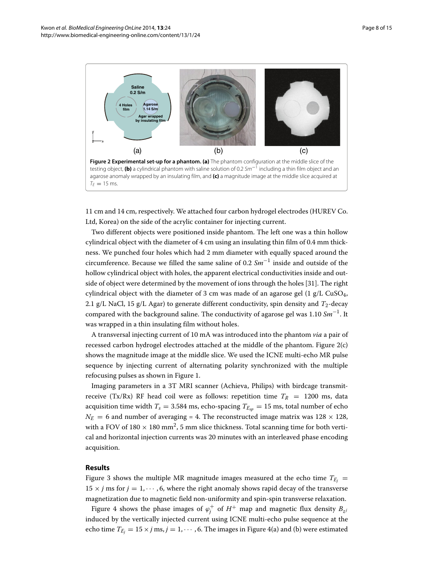

<span id="page-7-0"></span>11 cm and 14 cm, respectively. We attached four carbon hydrogel electrodes (HUREV Co. Ltd, Korea) on the side of the acrylic container for injecting current.

Two different objects were positioned inside phantom. The left one was a thin hollow cylindrical object with the diameter of 4 cm using an insulating thin film of 0.4 mm thickness. We punched four holes which had 2 mm diameter with equally spaced around the circumference. Because we filled the same saline of 0.2 *Sm*−<sup>1</sup> inside and outside of the hollow cylindrical object with holes, the apparent electrical conductivities inside and outside of object were determined by the movement of ions through the holes [\[31\]](#page-14-11). The right cylindrical object with the diameter of 3 cm was made of an agarose gel  $(1 g/L CuSO<sub>4</sub>)$ 2.1 g/L NaCl, 15 g/L Agar) to generate different conductivity, spin density and  $T_2$ -decay compared with the background saline. The conductivity of agarose gel was 1.10 *Sm*<sup>−</sup>1. It was wrapped in a thin insulating film without holes.

A transversal injecting current of 10 mA was introduced into the phantom *via* a pair of recessed carbon hydrogel electrodes attached at the middle of the phantom. Figure [2\(](#page-7-0)c) shows the magnitude image at the middle slice. We used the ICNE multi-echo MR pulse sequence by injecting current of alternating polarity synchronized with the multiple refocusing pulses as shown in Figure [1.](#page-3-0)

Imaging parameters in a 3T MRI scanner (Achieva, Philips) with birdcage transmitreceive (Tx/Rx) RF head coil were as follows: repetition time  $T_R$  = 1200 ms, data acquisition time width  $T_s = 3.584$  ms, echo-spacing  $T_{E_{\text{on}}} = 15$  ms, total number of echo  $N_E = 6$  and number of averaging = 4. The reconstructed image matrix was  $128 \times 128$ , with a FOV of  $180 \times 180$  mm<sup>2</sup>, 5 mm slice thickness. Total scanning time for both vertical and horizontal injection currents was 20 minutes with an interleaved phase encoding acquisition.

#### **Results**

Figure [3](#page-8-0) shows the multiple MR magnitude images measured at the echo time  $T_{E_i}$  = 15  $\times$  *j* ms for *j* = 1,  $\cdots$  , 6, where the right anomaly shows rapid decay of the transverse magnetization due to magnetic field non-uniformity and spin-spin transverse relaxation.

Figure [4](#page-8-1) shows the phase images of  $\varphi^+_j$  of  $H^+$  map and magnetic flux density  $B_{z^j}$ induced by the vertically injected current using ICNE multi-echo pulse sequence at the echo time  $T_{E_i} = 15 \times j$  ms,  $j = 1, \dots, 6$ . The images in Figure [4\(](#page-8-1)a) and (b) were estimated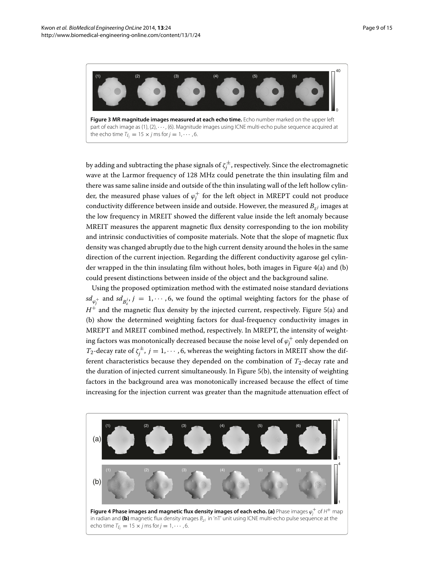

<span id="page-8-0"></span>by adding and subtracting the phase signals of  $\zeta_j^\pm$ , respectively. Since the electromagnetic wave at the Larmor frequency of 128 MHz could penetrate the thin insulating film and there was same saline inside and outside of the thin insulating wall of the left hollow cylinder, the measured phase values of  $\varphi^+_j$  for the left object in MREPT could not produce conductivity difference between inside and outside. However, the measured  $B_{z,i}$  images at the low frequency in MREIT showed the different value inside the left anomaly because MREIT measures the apparent magnetic flux density corresponding to the ion mobility and intrinsic conductivities of composite materials. Note that the slope of magnetic flux density was changed abruptly due to the high current density around the holes in the same direction of the current injection. Regarding the different conductivity agarose gel cylinder wrapped in the thin insulating film without holes, both images in Figure [4\(](#page-8-1)a) and (b) could present distinctions between inside of the object and the background saline.

Using the proposed optimization method with the estimated noise standard deviations  $sd_{\varphi^+_j}$  and  $sd_{B_z^j}, j=1,\cdots,6,$  we found the optimal weighting factors for the phase of  $H^+$  and the magnetic flux density by the injected current, respectively. Figure [5\(](#page-9-0)a) and (b) show the determined weighting factors for dual-frequency conductivity images in MREPT and MREIT combined method, respectively. In MREPT, the intensity of weighting factors was monotonically decreased because the noise level of  $\varphi^+_j$  only depended on *T*<sub>2</sub>-decay rate of  $\zeta_j^{\pm}$ , *j* = 1,  $\cdots$  , 6, whereas the weighting factors in MREIT show the different characteristics because they depended on the combination of *T*2-decay rate and the duration of injected current simultaneously. In Figure [5\(](#page-9-0)b), the intensity of weighting factors in the background area was monotonically increased because the effect of time increasing for the injection current was greater than the magnitude attenuation effect of

<span id="page-8-1"></span>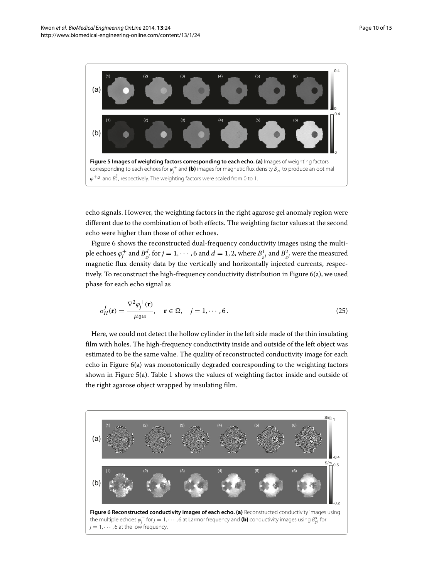

<span id="page-9-0"></span>echo signals. However, the weighting factors in the right agarose gel anomaly region were different due to the combination of both effects. The weighting factor values at the second echo were higher than those of other echoes.

Figure [6](#page-9-1) shows the reconstructed dual-frequency conductivity images using the multiple echoes  $\varphi_j^+$  and  $B_{z^j}^d$  for  $j=1,\cdots,6$  and  $d=1,2$ , where  $B_{z^j}^1$  and  $B_{z^j}^2$  were the measured magnetic flux density data by the vertically and horizontally injected currents, respectively. To reconstruct the high-frequency conductivity distribution in Figure [6\(](#page-9-1)a), we used phase for each echo signal as

$$
\sigma_H^j(\mathbf{r}) = \frac{\nabla^2 \varphi_j^+(\mathbf{r})}{\mu_0 \omega}, \quad \mathbf{r} \in \Omega, \quad j = 1, \cdots, 6.
$$
 (25)

Here, we could not detect the hollow cylinder in the left side made of the thin insulating film with holes. The high-frequency conductivity inside and outside of the left object was estimated to be the same value. The quality of reconstructed conductivity image for each echo in Figure [6\(](#page-9-1)a) was monotonically degraded corresponding to the weighting factors shown in Figure [5\(](#page-9-0)a). Table [1](#page-10-0) shows the values of weighting factor inside and outside of the right agarose object wrapped by insulating film.

<span id="page-9-1"></span>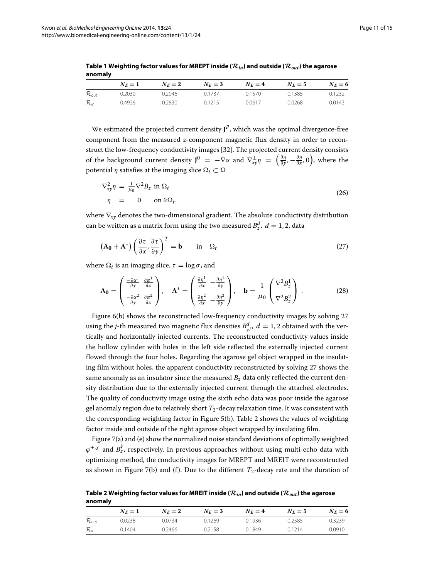**Table 1 Weighting factor values for MREPT inside (***Rin***) and outside (***Rout***) the agarose anomaly**

<span id="page-10-0"></span>

|                     | $N_F=1$ | $N_F=2$ | $N_F=3$ | $N_E=4$ | $N_E=5$ | $N_F=6$ |
|---------------------|---------|---------|---------|---------|---------|---------|
| $\mathcal{R}_{out}$ | 0.2030  | 0.2046  | 0.1737  | 0.1570  | 0.1385  | 0.1232  |
| $\mathcal{R}_{in}$  | 0.4926  | 0.2830  | 0.1215  | 0.0617  | 0.0268  | 0.0143  |

We estimated the projected current density  $J<sup>P</sup>$ , which was the optimal divergence-free component from the measured *z*-component magnetic flux density in order to reconstruct the low-frequency conductivity images [\[32\]](#page-14-12). The projected current density consists of the background current density  $J^0$  =  $-\nabla \alpha$  and  $\nabla^{\perp}_{xy}\eta$  =  $\left(\frac{\partial \eta}{\partial y}, -\frac{\partial \eta}{\partial x}, 0\right)$ , where the potential *η* satisfies at the imaging slice  $\Omega_t \subset \Omega$ 

$$
\nabla_{xy}^2 \eta = \frac{1}{\mu_0} \nabla^2 B_z \text{ in } \Omega_t
$$
  
\n
$$
\eta = 0 \quad \text{on } \partial \Omega_t.
$$
\n(26)

where ∇*xy* denotes the two-dimensional gradient. The absolute conductivity distribution can be written as a matrix form using the two measured  $B_z^d$ ,  $d=1,2$ , data

<span id="page-10-1"></span>
$$
\left(\mathbf{A_0} + \mathbf{A}^*\right) \left(\frac{\partial \tau}{\partial x}, \frac{\partial \tau}{\partial y}\right)^T = \mathbf{b} \quad \text{in} \quad \Omega_t \tag{27}
$$

where  $\Omega_t$  is an imaging slice,  $\tau = \log \sigma$ , and

$$
\mathbf{A_0} = \begin{pmatrix} \frac{-\partial \alpha^1}{\partial y} & \frac{\partial \alpha^1}{\partial x} \\ \frac{-\partial \alpha^2}{\partial y} & \frac{\partial \alpha^2}{\partial x} \end{pmatrix}, \quad \mathbf{A}^* = \begin{pmatrix} \frac{\partial \eta^1}{\partial x} & -\frac{\partial \eta^1}{\partial y} \\ \frac{\partial \eta^2}{\partial x} & -\frac{\partial \eta^2}{\partial y} \end{pmatrix}, \quad \mathbf{b} = \frac{1}{\mu_0} \begin{pmatrix} \nabla^2 B_z^1 \\ \nabla^2 B_z^2 \end{pmatrix}.
$$
 (28)

Figure [6\(](#page-9-1)b) shows the reconstructed low-frequency conductivity images by solving [27](#page-10-1) using the *j*-th measured two magnetic flux densities  $B_{z^j}^d$ ,  $d = 1,2$  obtained with the vertically and horizontally injected currents. The reconstructed conductivity values inside the hollow cylinder with holes in the left side reflected the externally injected current flowed through the four holes. Regarding the agarose gel object wrapped in the insulating film without holes, the apparent conductivity reconstructed by solving [27](#page-10-1) shows the same anomaly as an insulator since the measured  $B<sub>z</sub>$  data only reflected the current density distribution due to the externally injected current through the attached electrodes. The quality of conductivity image using the sixth echo data was poor inside the agarose gel anomaly region due to relatively short *T*2-decay relaxation time. It was consistent with the corresponding weighting factor in Figure [5\(](#page-9-0)b). Table [2](#page-10-2) shows the values of weighting factor inside and outside of the right agarose object wrapped by insulating film.

Figure [7\(](#page-11-0)a) and (e) show the normalized noise standard deviations of optimally weighted  $\varphi^{+,\chi}$  and  $B_z^\xi$ , respectively. In previous approaches without using multi-echo data with optimizing method, the conductivity images for MREPT and MREIT were reconstructed as shown in Figure [7\(](#page-11-0)b) and (f). Due to the different  $T_2$ -decay rate and the duration of

<span id="page-10-2"></span>**Table 2 Weighting factor values for MREIT inside (***Rin***) and outside (***Rout***) the agarose anomaly**

|                     | $N_F=1$ | $N_F=2$ | $N_F=3$ | $N_F=4$ | $N_F=5$ | $N_F=6$ |
|---------------------|---------|---------|---------|---------|---------|---------|
| $\mathcal{R}_{out}$ | 0.0238  | 0.0734  | 0.1269  | 0.1936  | 0.2585  | 0.3239  |
| $\mathcal{R}_{in}$  | 0.1404  | 0.2466  | 0.2158  | 0.1849  | 0.1214  | 0.0910  |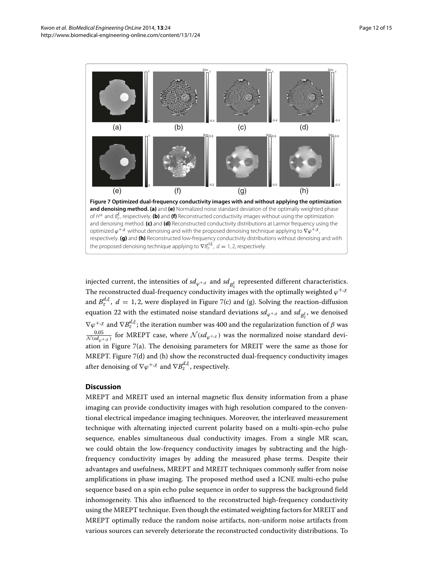

<span id="page-11-0"></span>injected current, the intensities of  $sd_{\varphi^{+, \chi}}$  and  $sd_{B^{\xi}_{\bar{z}}}$  represented different characteristics. The reconstructed dual-frequency conductivity images with the optimally weighted  $\varphi^{+, \chi}$ and  $B_z^{d,\xi}$ ,  $d=1,2$ , were displayed in Figure [7\(](#page-11-0)c) and (g). Solving the reaction-diffusion equation [22](#page-6-0) with the estimated noise standard deviations  $sd_{\varphi^{+, \chi}}$  and  $sd_{B_{z}^{\xi}},$  we denoised  $\nabla \varphi^{+,\chi}$  and  $\nabla B_z^{d,\xi}$ ; the iteration number was 400 and the regularization function of  $\beta$  was  $\frac{0.05}{\mathcal{N}(sd_{\varphi^{+},\chi})}$  for MREPT case, where  $\mathcal{N}(sd_{\varphi^{+},\chi})$  was the normalized noise standard deviation in Figure [7\(](#page-11-0)a). The denoising parameters for MREIT were the same as those for MREPT. Figure [7\(](#page-11-0)d) and (h) show the reconstructed dual-frequency conductivity images after denoising of  $\nabla \varphi^{+,\chi}$  and  $\nabla B^{d,\xi}_{z}$ , respectively.

### **Discussion**

MREPT and MREIT used an internal magnetic flux density information from a phase imaging can provide conductivity images with high resolution compared to the conventional electrical impedance imaging techniques. Moreover, the interleaved measurement technique with alternating injected current polarity based on a multi-spin-echo pulse sequence, enables simultaneous dual conductivity images. From a single MR scan, we could obtain the low-frequency conductivity images by subtracting and the highfrequency conductivity images by adding the measured phase terms. Despite their advantages and usefulness, MREPT and MREIT techniques commonly suffer from noise amplifications in phase imaging. The proposed method used a ICNE multi-echo pulse sequence based on a spin echo pulse sequence in order to suppress the background field inhomogeneity. This also influenced to the reconstructed high-frequency conductivity using the MREPT technique. Even though the estimated weighting factors for MREIT and MREPT optimally reduce the random noise artifacts, non-uniform noise artifacts from various sources can severely deteriorate the reconstructed conductivity distributions. To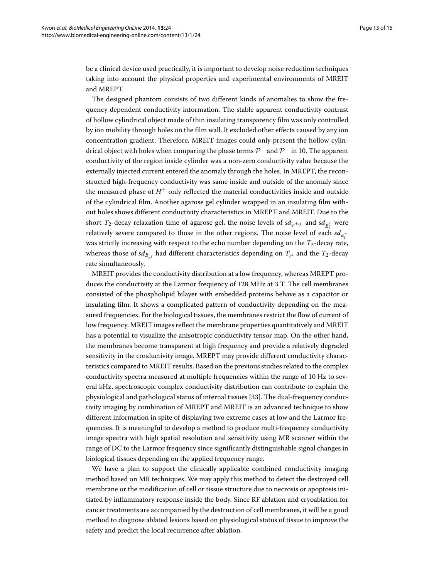be a clinical device used practically, it is important to develop noise reduction techniques taking into account the physical properties and experimental environments of MREIT and MREPT.

The designed phantom consists of two different kinds of anomalies to show the frequency dependent conductivity information. The stable apparent conductivity contrast of hollow cylindrical object made of thin insulating transparency film was only controlled by ion mobility through holes on the film wall. It excluded other effects caused by any ion concentration gradient. Therefore, MREIT images could only present the hollow cylindrical object with holes when comparing the phase terms  $\mathcal{P}^+$  and  $\mathcal{P}^-$  in [10.](#page-4-0) The apparent conductivity of the region inside cylinder was a non-zero conductivity value because the externally injected current entered the anomaly through the holes. In MREPT, the reconstructed high-frequency conductivity was same inside and outside of the anomaly since the measured phase of  $H^+$  only reflected the material conductivities inside and outside of the cylindrical film. Another agarose gel cylinder wrapped in an insulating film without holes shows different conductivity characteristics in MREPT and MREIT. Due to the short  $T_2$ -decay relaxation time of agarose gel, the noise levels of  $sd_{\varphi^{+, \chi}}$  and  $sd_{B_{z}^{\xi}}$  were relatively severe compared to those in the other regions. The noise level of each  $sd_{\varphi_j^+}$ was strictly increasing with respect to the echo number depending on the  $T_2$ -decay rate, whereas those of  $sd_B$ ; had different characteristics depending on  $T_{c}$  and the  $T_2$ -decay rate simultaneously.

MREIT provides the conductivity distribution at a low frequency, whereas MREPT produces the conductivity at the Larmor frequency of 128 MHz at 3 T. The cell membranes consisted of the phospholipid bilayer with embedded proteins behave as a capacitor or insulating film. It shows a complicated pattern of conductivity depending on the measured frequencies. For the biological tissues, the membranes restrict the flow of current of low frequency. MREIT images reflect the membrane properties quantitatively and MREIT has a potential to visualize the anisotropic conductivity tensor map. On the other hand, the membranes become transparent at high frequency and provide a relatively degraded sensitivity in the conductivity image. MREPT may provide different conductivity characteristics compared to MREIT results. Based on the previous studies related to the complex conductivity spectra measured at multiple frequencies within the range of 10 Hz to several kHz, spectroscopic complex conductivity distribution can contribute to explain the physiological and pathological status of internal tissues [\[33\]](#page-14-13). The dual-frequency conductivity imaging by combination of MREPT and MREIT is an advanced technique to show different information in spite of displaying two extreme cases at low and the Larmor frequencies. It is meaningful to develop a method to produce multi-frequency conductivity image spectra with high spatial resolution and sensitivity using MR scanner within the range of DC to the Larmor frequency since significantly distinguishable signal changes in biological tissues depending on the applied frequency range.

We have a plan to support the clinically applicable combined conductivity imaging method based on MR techniques. We may apply this method to detect the destroyed cell membrane or the modification of cell or tissue structure due to necrosis or apoptosis initiated by inflammatory response inside the body. Since RF ablation and cryoablation for cancer treatments are accompanied by the destruction of cell membranes, it will be a good method to diagnose ablated lesions based on physiological status of tissue to improve the safety and predict the local recurrence after ablation.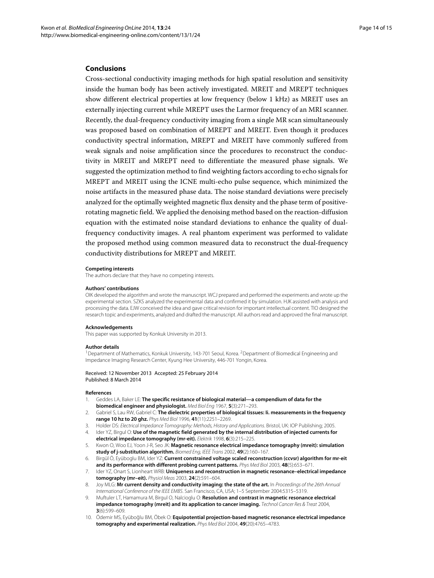#### **Conclusions**

Cross-sectional conductivity imaging methods for high spatial resolution and sensitivity inside the human body has been actively investigated. MREIT and MREPT techniques show different electrical properties at low frequency (below 1 kHz) as MREIT uses an externally injecting current while MREPT uses the Larmor frequency of an MRI scanner. Recently, the dual-frequency conductivity imaging from a single MR scan simultaneously was proposed based on combination of MREPT and MREIT. Even though it produces conductivity spectral information, MREPT and MREIT have commonly suffered from weak signals and noise amplification since the procedures to reconstruct the conductivity in MREIT and MREPT need to differentiate the measured phase signals. We suggested the optimization method to find weighting factors according to echo signals for MREPT and MREIT using the ICNE multi-echo pulse sequence, which minimized the noise artifacts in the measured phase data. The noise standard deviations were precisely analyzed for the optimally weighted magnetic flux density and the phase term of positiverotating magnetic field. We applied the denoising method based on the reaction-diffusion equation with the estimated noise standard deviations to enhance the quality of dualfrequency conductivity images. A real phantom experiment was performed to validate the proposed method using common measured data to reconstruct the dual-frequency conductivity distributions for MREPT and MREIT.

#### **Competing interests**

The authors declare that they have no competing interests.

#### **Authors' contributions**

OIK developed the algorithm and wrote the manuscript. WCJ prepared and performed the experiments and wrote up the experimental section. SZKS analyzed the experimental data and confirmed it by simulation. HJK assisted with analysis and processing the data. EJW conceived the idea and gave critical revision for important intellectual content. TIO designed the research topic and experiments, analyzed and drafted the manuscript. All authors read and approved the final manuscript.

#### **Acknowledgements**

This paper was supported by Konkuk University in 2013.

#### **Author details**

<sup>1</sup>Department of Mathematics, Konkuk University, 143-701 Seoul, Korea. <sup>2</sup>Department of Biomedical Engineering and Impedance Imaging Research Center, Kyung Hee University, 446-701 Yongin, Korea.

#### Received: 12 November 2013 Accepted: 25 February 2014 Published: 8 March 2014

#### **References**

- <span id="page-13-0"></span>1. Geddes LA, Baker LE: **The specific resistance of biological material—a compendium of data for the biomedical engineer and physiologist.** Med Biol Eng 1967, **5**(3):271–293.
- <span id="page-13-1"></span>2. Gabriel S, Lau RW, Gabriel C: **The dielectric properties of biological tissues: Ii. measurements in the frequency range 10 hz to 20 ghz.** Phys Med Biol 1996, **41**(11):2251–2269.
- <span id="page-13-2"></span>3. Holder DS: Electrical Impedance Tomography: Methods, History and Applications. Bristol, UK: IOP Publishing; 2005.
- <span id="page-13-3"></span>4. Ider YZ, Birgul O: **Use of the magnetic field generated by the internal distribution of injected currents for electrical impedance tomography (mr-eit).** Elektrik 1998, **6**(3):215–225.
- 5. Kwon O, Woo EJ, Yoon J-R, Seo JK: **Magnetic resonance electrical impedance tomography (mreit): simulation study of j-substitution algorithm.** Biomed Eng, IEEE Trans 2002, **49**(2):160–167.
- 6. Birgül Ö, Eyüboglu BM, Ider YZ: **Current constrained voltage scaled reconstruction (ccvsr) algorithm for mr-eit and its performance with different probing current patterns.** Phys Med Biol 2003, **48**(5):653–671.
- 7. Ider YZ, Onart S, Lionheart WRB: **Uniqueness and reconstruction in magnetic resonance–electrical impedance tomography (mr–eit).** Physiol Meas 2003, **24**(2):591–604.
- 8. Joy MLG: **Mr current density and conductivity imaging: the state of the art.** In Proceedings of the 26th Annual International Conference of the IEEE EMBS. San Francisco, CA, USA; 1–5 September 2004:5315–5319.
- 9. Muftuler LT, Hamamura M, Birgul O, Nalcioglu O: **Resolution and contrast in magnetic resonance electrical impedance tomography (mreit) and its application to cancer imaging.** Technol Cancer Res & Treat 2004, **3**(6):599–609.
- 10. Ödemir MS, Eyüboğlu BM, Öbek O: Equipotential projection-based magnetic resonance electrical impedance **tomography and experimental realization.** Phys Med Biol 2004, **49**(20):4765–4783.